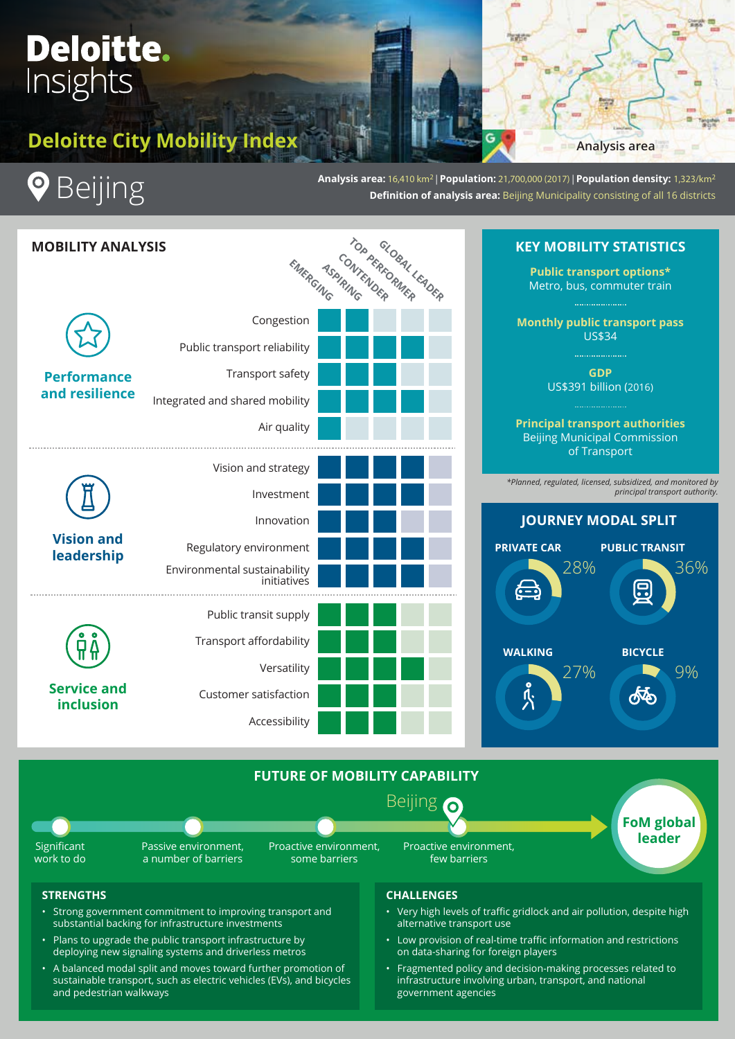# **Deloitte.** Insights

# **Deloitte City Mobility Index**



**Analysis area:** 16,410 km2 | **Population:** 21,700,000 (2017) | **Population density:** 1,323/km2 **Definition of analysis area:** Beijing Municipality consisting of all 16 districts

**Analysis area**



- Strong government commitment to improving transport and substantial backing for infrastructure investments
- Plans to upgrade the public transport infrastructure by deploying new signaling systems and driverless metros
- A balanced modal split and moves toward further promotion of sustainable transport, such as electric vehicles (EVs), and bicycles and pedestrian walkways

# **CHALLENGES**

- Very high levels of traffic gridlock and air pollution, despite high alternative transport use
- Low provision of real-time traffic information and restrictions on data-sharing for foreign players
- Fragmented policy and decision-making processes related to infrastructure involving urban, transport, and national government agencies